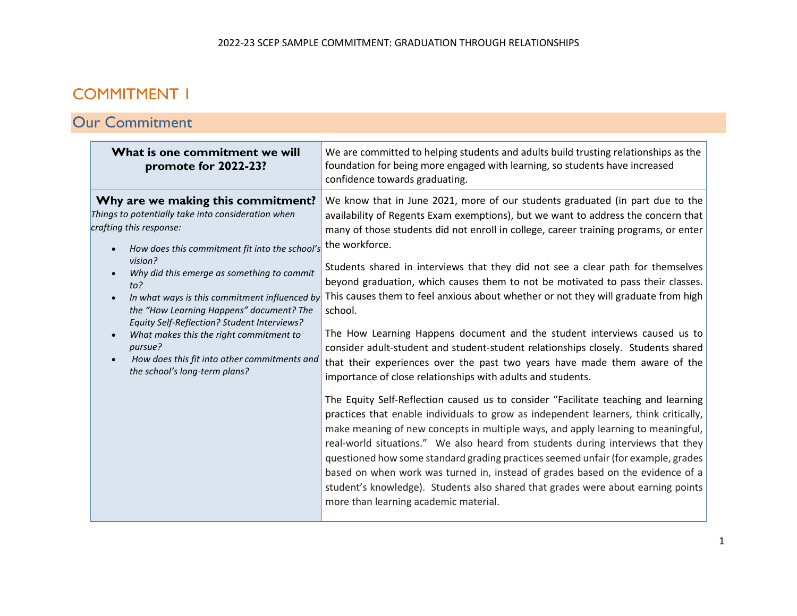# COMMITMENT 1

# Our Commitment

| What is one commitment we will<br>promote for 2022-23?                                                                                                                                                                                                                                                                                                                                                                                                                                                                      | We are committed to helping students and adults build trusting relationships as the<br>foundation for being more engaged with learning, so students have increased<br>confidence towards graduating.                                                                                                                                                                                                                                                                                                                                                                                                                                                                                                                                                                                                                                                                                                                                                                                                                                                                                                                                                                                                                                                                                                                                                                                                                                                                                                                        |
|-----------------------------------------------------------------------------------------------------------------------------------------------------------------------------------------------------------------------------------------------------------------------------------------------------------------------------------------------------------------------------------------------------------------------------------------------------------------------------------------------------------------------------|-----------------------------------------------------------------------------------------------------------------------------------------------------------------------------------------------------------------------------------------------------------------------------------------------------------------------------------------------------------------------------------------------------------------------------------------------------------------------------------------------------------------------------------------------------------------------------------------------------------------------------------------------------------------------------------------------------------------------------------------------------------------------------------------------------------------------------------------------------------------------------------------------------------------------------------------------------------------------------------------------------------------------------------------------------------------------------------------------------------------------------------------------------------------------------------------------------------------------------------------------------------------------------------------------------------------------------------------------------------------------------------------------------------------------------------------------------------------------------------------------------------------------------|
| Why are we making this commitment?<br>Things to potentially take into consideration when<br>crafting this response:<br>How does this commitment fit into the school's<br>vision?<br>Why did this emerge as something to commit<br>$to$ ?<br>In what ways is this commitment influenced by<br>the "How Learning Happens" document? The<br>Equity Self-Reflection? Student Interviews?<br>What makes this the right commitment to<br>pursue?<br>How does this fit into other commitments and<br>the school's long-term plans? | We know that in June 2021, more of our students graduated (in part due to the<br>availability of Regents Exam exemptions), but we want to address the concern that<br>many of those students did not enroll in college, career training programs, or enter<br>the workforce.<br>Students shared in interviews that they did not see a clear path for themselves<br>beyond graduation, which causes them to not be motivated to pass their classes.<br>This causes them to feel anxious about whether or not they will graduate from high<br>school.<br>The How Learning Happens document and the student interviews caused us to<br>consider adult-student and student-student relationships closely. Students shared<br>that their experiences over the past two years have made them aware of the<br>importance of close relationships with adults and students.<br>The Equity Self-Reflection caused us to consider "Facilitate teaching and learning<br>practices that enable individuals to grow as independent learners, think critically,<br>make meaning of new concepts in multiple ways, and apply learning to meaningful,<br>real-world situations." We also heard from students during interviews that they<br>questioned how some standard grading practices seemed unfair (for example, grades<br>based on when work was turned in, instead of grades based on the evidence of a<br>student's knowledge). Students also shared that grades were about earning points<br>more than learning academic material. |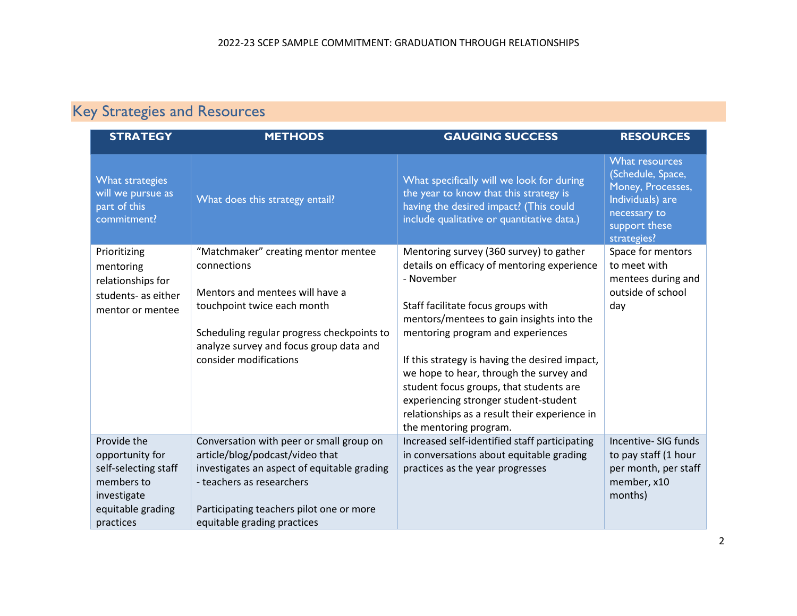# Key Strategies and Resources

| <b>STRATEGY</b>                                                                                                       | <b>METHODS</b>                                                                                                                                                                                                                          | <b>GAUGING SUCCESS</b>                                                                                                                                                                                                                                                                                                                                                                                                                                                                   | <b>RESOURCES</b>                                                                                                             |
|-----------------------------------------------------------------------------------------------------------------------|-----------------------------------------------------------------------------------------------------------------------------------------------------------------------------------------------------------------------------------------|------------------------------------------------------------------------------------------------------------------------------------------------------------------------------------------------------------------------------------------------------------------------------------------------------------------------------------------------------------------------------------------------------------------------------------------------------------------------------------------|------------------------------------------------------------------------------------------------------------------------------|
| What strategies<br>will we pursue as<br>part of this<br>commitment?                                                   | What does this strategy entail?                                                                                                                                                                                                         | What specifically will we look for during<br>the year to know that this strategy is<br>having the desired impact? (This could<br>include qualitative or quantitative data.)                                                                                                                                                                                                                                                                                                              | What resources<br>(Schedule, Space,<br>Money, Processes,<br>Individuals) are<br>necessary to<br>support these<br>strategies? |
| Prioritizing<br>mentoring<br>relationships for<br>students- as either<br>mentor or mentee                             | "Matchmaker" creating mentor mentee<br>connections<br>Mentors and mentees will have a<br>touchpoint twice each month<br>Scheduling regular progress checkpoints to<br>analyze survey and focus group data and<br>consider modifications | Mentoring survey (360 survey) to gather<br>details on efficacy of mentoring experience<br>- November<br>Staff facilitate focus groups with<br>mentors/mentees to gain insights into the<br>mentoring program and experiences<br>If this strategy is having the desired impact,<br>we hope to hear, through the survey and<br>student focus groups, that students are<br>experiencing stronger student-student<br>relationships as a result their experience in<br>the mentoring program. | Space for mentors<br>to meet with<br>mentees during and<br>outside of school<br>day                                          |
| Provide the<br>opportunity for<br>self-selecting staff<br>members to<br>investigate<br>equitable grading<br>practices | Conversation with peer or small group on<br>article/blog/podcast/video that<br>investigates an aspect of equitable grading<br>- teachers as researchers<br>Participating teachers pilot one or more<br>equitable grading practices      | Increased self-identified staff participating<br>in conversations about equitable grading<br>practices as the year progresses                                                                                                                                                                                                                                                                                                                                                            | Incentive- SIG funds<br>to pay staff (1 hour<br>per month, per staff<br>member, x10<br>months)                               |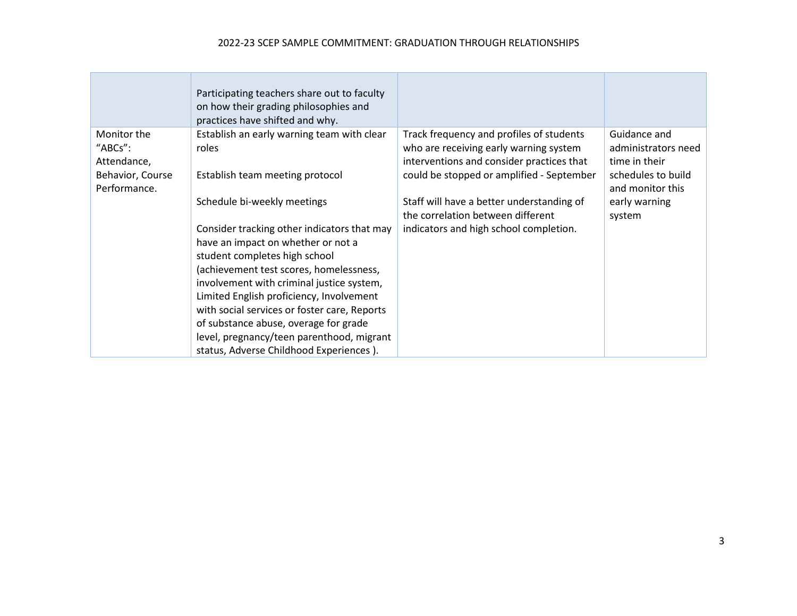### 2022-23 SCEP SAMPLE COMMITMENT: GRADUATION THROUGH RELATIONSHIPS

|                                                                           | Participating teachers share out to faculty<br>on how their grading philosophies and<br>practices have shifted and why.                                                                                                                                                                                                                                                                                                                                                 |                                                                                                                                                                              |                                                                                                |
|---------------------------------------------------------------------------|-------------------------------------------------------------------------------------------------------------------------------------------------------------------------------------------------------------------------------------------------------------------------------------------------------------------------------------------------------------------------------------------------------------------------------------------------------------------------|------------------------------------------------------------------------------------------------------------------------------------------------------------------------------|------------------------------------------------------------------------------------------------|
| Monitor the<br>"ABCs":<br>Attendance,<br>Behavior, Course<br>Performance. | Establish an early warning team with clear<br>roles<br>Establish team meeting protocol                                                                                                                                                                                                                                                                                                                                                                                  | Track frequency and profiles of students<br>who are receiving early warning system<br>interventions and consider practices that<br>could be stopped or amplified - September | Guidance and<br>administrators need<br>time in their<br>schedules to build<br>and monitor this |
|                                                                           | Schedule bi-weekly meetings<br>Consider tracking other indicators that may<br>have an impact on whether or not a<br>student completes high school<br>(achievement test scores, homelessness,<br>involvement with criminal justice system,<br>Limited English proficiency, Involvement<br>with social services or foster care, Reports<br>of substance abuse, overage for grade<br>level, pregnancy/teen parenthood, migrant<br>status, Adverse Childhood Experiences ). | Staff will have a better understanding of<br>the correlation between different<br>indicators and high school completion.                                                     | early warning<br>system                                                                        |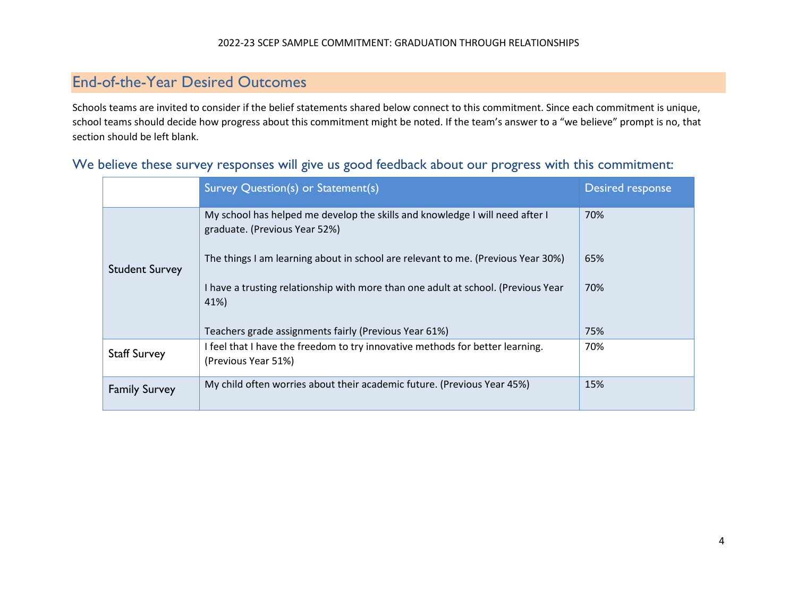## End-of-the-Year Desired Outcomes

Schools teams are invited to consider if the belief statements shared below connect to this commitment. Since each commitment is unique, school teams should decide how progress about this commitment might be noted. If the team's answer to a "we believe" prompt is no, that section should be left blank.

|                       | Survey Question(s) or Statement(s)                                                                            | Desired response |
|-----------------------|---------------------------------------------------------------------------------------------------------------|------------------|
| <b>Student Survey</b> | My school has helped me develop the skills and knowledge I will need after I<br>graduate. (Previous Year 52%) | 70%              |
|                       | The things I am learning about in school are relevant to me. (Previous Year 30%)                              | 65%              |
|                       | I have a trusting relationship with more than one adult at school. (Previous Year<br>41%)                     | 70%              |
|                       | Teachers grade assignments fairly (Previous Year 61%)                                                         | 75%              |
| <b>Staff Survey</b>   | I feel that I have the freedom to try innovative methods for better learning.<br>(Previous Year 51%)          | 70%              |
| <b>Family Survey</b>  | My child often worries about their academic future. (Previous Year 45%)                                       | 15%              |

### We believe these survey responses will give us good feedback about our progress with this commitment: